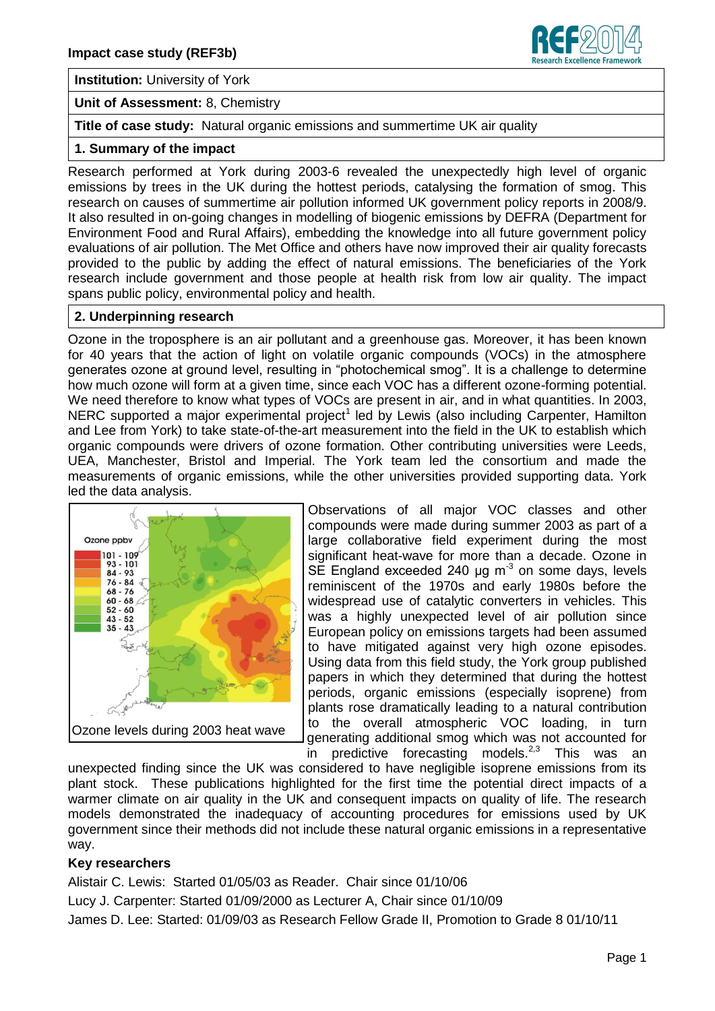

**Institution:** University of York

**Unit of Assessment:** 8, Chemistry

**Title of case study:** Natural organic emissions and summertime UK air quality

# **1. Summary of the impact**

Research performed at York during 2003-6 revealed the unexpectedly high level of organic emissions by trees in the UK during the hottest periods, catalysing the formation of smog. This research on causes of summertime air pollution informed UK government policy reports in 2008/9. It also resulted in on-going changes in modelling of biogenic emissions by DEFRA (Department for Environment Food and Rural Affairs), embedding the knowledge into all future government policy evaluations of air pollution. The Met Office and others have now improved their air quality forecasts provided to the public by adding the effect of natural emissions. The beneficiaries of the York research include government and those people at health risk from low air quality. The impact spans public policy, environmental policy and health.

# **2. Underpinning research**

Ozone in the troposphere is an air pollutant and a greenhouse gas. Moreover, it has been known for 40 years that the action of light on volatile organic compounds (VOCs) in the atmosphere generates ozone at ground level, resulting in "photochemical smog". It is a challenge to determine how much ozone will form at a given time, since each VOC has a different ozone-forming potential. We need therefore to know what types of VOCs are present in air, and in what quantities. In 2003, NERC supported a major experimental project<sup>1</sup> led by Lewis (also including Carpenter, Hamilton and Lee from York) to take state-of-the-art measurement into the field in the UK to establish which organic compounds were drivers of ozone formation. Other contributing universities were Leeds, UEA, Manchester, Bristol and Imperial. The York team led the consortium and made the measurements of organic emissions, while the other universities provided supporting data. York led the data analysis.



Observations of all major VOC classes and other compounds were made during summer 2003 as part of a large collaborative field experiment during the most significant heat-wave for more than a decade. Ozone in SE England exceeded 240  $\mu$ g m<sup>-3</sup> on some days, levels reminiscent of the 1970s and early 1980s before the widespread use of catalytic converters in vehicles. This was a highly unexpected level of air pollution since European policy on emissions targets had been assumed to have mitigated against very high ozone episodes. Using data from this field study, the York group published papers in which they determined that during the hottest periods, organic emissions (especially isoprene) from plants rose dramatically leading to a natural contribution to the overall atmospheric VOC loading, in turn generating additional smog which was not accounted for in predictive forecasting models. $2,3$  This was an

unexpected finding since the UK was considered to have negligible isoprene emissions from its plant stock. These publications highlighted for the first time the potential direct impacts of a warmer climate on air quality in the UK and consequent impacts on quality of life. The research models demonstrated the inadequacy of accounting procedures for emissions used by UK government since their methods did not include these natural organic emissions in a representative way.

# **Key researchers**

Alistair C. Lewis: Started 01/05/03 as Reader. Chair since 01/10/06 Lucy J. Carpenter: Started 01/09/2000 as Lecturer A, Chair since 01/10/09 James D. Lee: Started: 01/09/03 as Research Fellow Grade II, Promotion to Grade 8 01/10/11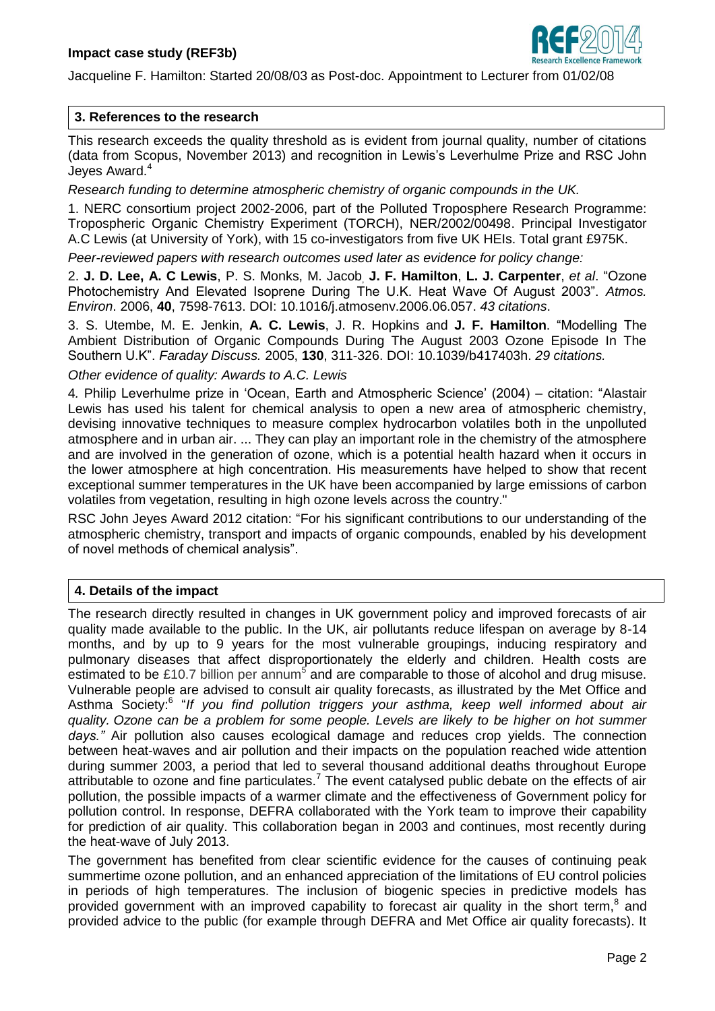

Jacqueline F. Hamilton: Started 20/08/03 as Post-doc. Appointment to Lecturer from 01/02/08

### **3. References to the research**

This research exceeds the quality threshold as is evident from journal quality, number of citations (data from Scopus, November 2013) and recognition in Lewis's Leverhulme Prize and RSC John Jeyes Award.<sup>4</sup>

*Research funding to determine atmospheric chemistry of organic compounds in the UK.* 

1. NERC consortium project 2002-2006, part of the Polluted Troposphere Research Programme: Tropospheric Organic Chemistry Experiment (TORCH), NER/2002/00498. Principal Investigator A.C Lewis (at University of York), with 15 co-investigators from five UK HEIs. Total grant £975K.

*Peer-reviewed papers with research outcomes used later as evidence for policy change:*

2. **J. D. Lee, A. C Lewis**, P. S. Monks, M. Jacob, **J. F. Hamilton**, **L. J. Carpenter**, *et al*. "Ozone Photochemistry And Elevated Isoprene During The U.K. Heat Wave Of August 2003". *Atmos. Environ*. 2006, **40**, 7598-7613. DOI: 10.1016/j.atmosenv.2006.06.057. *43 citations*.

3. S. Utembe, M. E. Jenkin, **A. C. Lewis**, J. R. Hopkins and **J. F. Hamilton**. "Modelling The Ambient Distribution of Organic Compounds During The August 2003 Ozone Episode In The Southern U.K". *Faraday Discuss.* 2005, **130**, 311-326. DOI: 10.1039/b417403h. *29 citations.* 

*Other evidence of quality: Awards to A.C. Lewis*

4*.* Philip Leverhulme prize in 'Ocean, Earth and Atmospheric Science' (2004) – citation: "Alastair Lewis has used his talent for chemical analysis to open a new area of atmospheric chemistry, devising innovative techniques to measure complex hydrocarbon volatiles both in the unpolluted atmosphere and in urban air. ... They can play an important role in the chemistry of the atmosphere and are involved in the generation of ozone, which is a potential health hazard when it occurs in the lower atmosphere at high concentration. His measurements have helped to show that recent exceptional summer temperatures in the UK have been accompanied by large emissions of carbon volatiles from vegetation, resulting in high ozone levels across the country."

RSC John Jeyes Award 2012 citation: "For his significant contributions to our understanding of the atmospheric chemistry, transport and impacts of organic compounds, enabled by his development of novel methods of chemical analysis".

# **4. Details of the impact**

The research directly resulted in changes in UK government policy and improved forecasts of air quality made available to the public. In the UK, air pollutants reduce lifespan on average by 8-14 months, and by up to 9 years for the most vulnerable groupings, inducing respiratory and pulmonary diseases that affect disproportionately the elderly and children. Health costs are estimated to be £10.7 billion per annum<sup>5</sup> and are comparable to those of alcohol and drug misuse. Vulnerable people are advised to consult air quality forecasts, as illustrated by the Met Office and Asthma Society:<sup>6</sup> "If you find pollution triggers your asthma, keep well informed about air *quality. Ozone can be a problem for some people. Levels are likely to be higher on hot summer days."* Air pollution also causes ecological damage and reduces crop yields. The connection between heat-waves and air pollution and their impacts on the population reached wide attention during summer 2003, a period that led to several thousand additional deaths throughout Europe attributable to ozone and fine particulates.<sup>7</sup> The event catalysed public debate on the effects of air pollution, the possible impacts of a warmer climate and the effectiveness of Government policy for pollution control. In response, DEFRA collaborated with the York team to improve their capability for prediction of air quality. This collaboration began in 2003 and continues, most recently during the heat-wave of July 2013.

The government has benefited from clear scientific evidence for the causes of continuing peak summertime ozone pollution, and an enhanced appreciation of the limitations of EU control policies in periods of high temperatures. The inclusion of biogenic species in predictive models has provided government with an improved capability to forecast air quality in the short term, $<sup>8</sup>$  and</sup> provided advice to the public (for example through DEFRA and Met Office air quality forecasts). It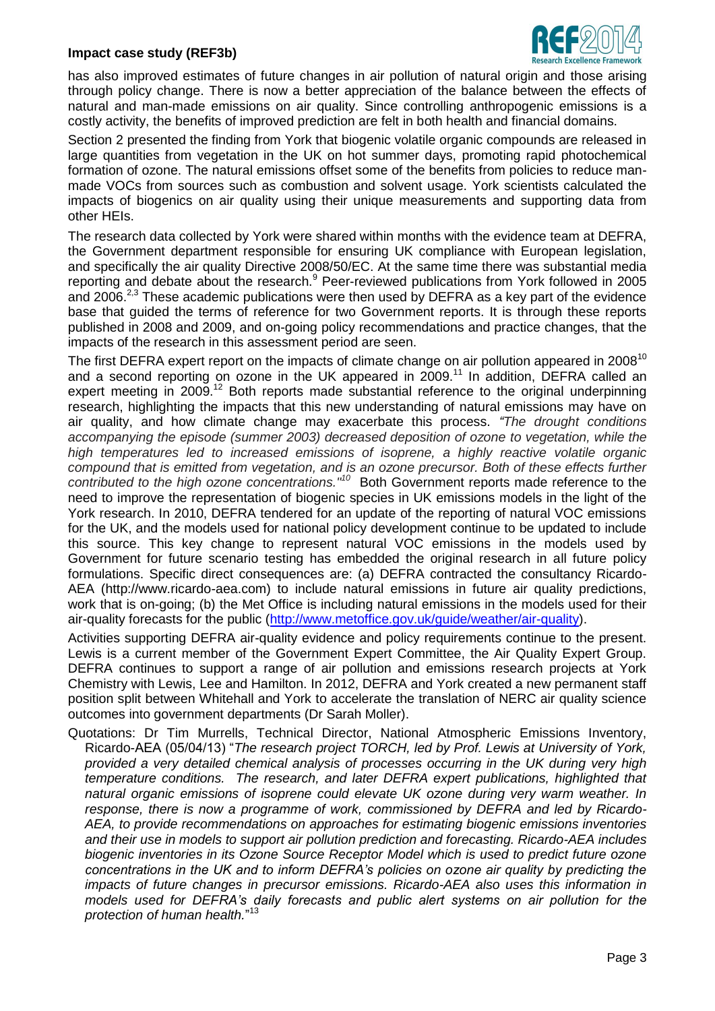#### **Impact case study (REF3b)**



has also improved estimates of future changes in air pollution of natural origin and those arising through policy change. There is now a better appreciation of the balance between the effects of natural and man-made emissions on air quality. Since controlling anthropogenic emissions is a costly activity, the benefits of improved prediction are felt in both health and financial domains.

Section 2 presented the finding from York that biogenic volatile organic compounds are released in large quantities from vegetation in the UK on hot summer days, promoting rapid photochemical formation of ozone. The natural emissions offset some of the benefits from policies to reduce manmade VOCs from sources such as combustion and solvent usage. York scientists calculated the impacts of biogenics on air quality using their unique measurements and supporting data from other HEIs.

The research data collected by York were shared within months with the evidence team at DEFRA, the Government department responsible for ensuring UK compliance with European legislation, and specifically the air quality Directive 2008/50/EC. At the same time there was substantial media reporting and debate about the research.<sup>9</sup> Peer-reviewed publications from York followed in 2005 and 2006.<sup>2,3</sup> These academic publications were then used by DEFRA as a key part of the evidence base that guided the terms of reference for two Government reports. It is through these reports published in 2008 and 2009, and on-going policy recommendations and practice changes, that the impacts of the research in this assessment period are seen.

The first DEFRA expert report on the impacts of climate change on air pollution appeared in 2008<sup>10</sup> and a second reporting on ozone in the UK appeared in  $2009$ .<sup>11</sup> In addition, DEFRA called an expert meeting in 2009.<sup>12</sup> Both reports made substantial reference to the original underpinning research, highlighting the impacts that this new understanding of natural emissions may have on air quality, and how climate change may exacerbate this process. *"The drought conditions accompanying the episode (summer 2003) decreased deposition of ozone to vegetation, while the high temperatures led to increased emissions of isoprene, a highly reactive volatile organic compound that is emitted from vegetation, and is an ozone precursor. Both of these effects further*  contributed to the high ozone concentrations."<sup>10</sup> Both Government reports made reference to the need to improve the representation of biogenic species in UK emissions models in the light of the York research. In 2010, DEFRA tendered for an update of the reporting of natural VOC emissions for the UK, and the models used for national policy development continue to be updated to include this source. This key change to represent natural VOC emissions in the models used by Government for future scenario testing has embedded the original research in all future policy formulations. Specific direct consequences are: (a) DEFRA contracted the consultancy Ricardo-AEA (http://www.ricardo-aea.com) to include natural emissions in future air quality predictions, work that is on-going; (b) the Met Office is including natural emissions in the models used for their air-quality forecasts for the public [\(http://www.metoffice.gov.uk/guide/weather/air-quality\)](http://www.metoffice.gov.uk/guide/weather/air-quality).

Activities supporting DEFRA air-quality evidence and policy requirements continue to the present. Lewis is a current member of the Government Expert Committee, the Air Quality Expert Group. DEFRA continues to support a range of air pollution and emissions research projects at York Chemistry with Lewis, Lee and Hamilton. In 2012, DEFRA and York created a new permanent staff position split between Whitehall and York to accelerate the translation of NERC air quality science outcomes into government departments (Dr Sarah Moller).

Quotations: Dr Tim Murrells, Technical Director, National Atmospheric Emissions Inventory, Ricardo-AEA (05/04/13) "*The research project TORCH, led by Prof. Lewis at University of York, provided a very detailed chemical analysis of processes occurring in the UK during very high temperature conditions. The research, and later DEFRA expert publications, highlighted that natural organic emissions of isoprene could elevate UK ozone during very warm weather. In response, there is now a programme of work, commissioned by DEFRA and led by Ricardo-AEA, to provide recommendations on approaches for estimating biogenic emissions inventories and their use in models to support air pollution prediction and forecasting. Ricardo-AEA includes biogenic inventories in its Ozone Source Receptor Model which is used to predict future ozone concentrations in the UK and to inform DEFRA's policies on ozone air quality by predicting the impacts of future changes in precursor emissions. Ricardo-AEA also uses this information in models used for DEFRA's daily forecasts and public alert systems on air pollution for the protection of human health.*" 13